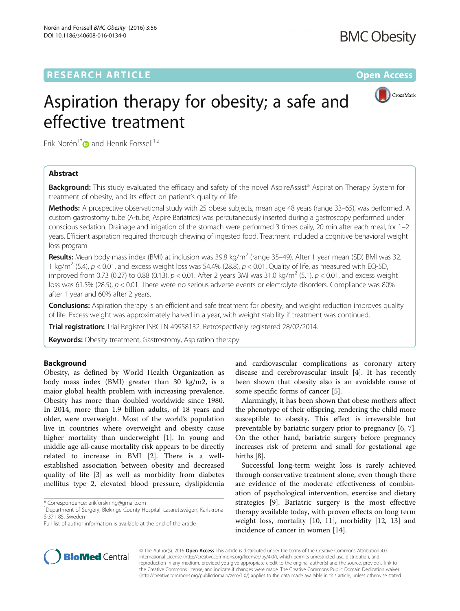

# Aspiration therapy for obesity; a safe and effective treatment

Erik Norén<sup>1\*</sup> $\bullet$  and Henrik Forssell<sup>1,2</sup>

# Abstract

**Background:** This study evaluated the efficacy and safety of the novel AspireAssist® Aspiration Therapy System for treatment of obesity, and its effect on patient's quality of life.

Methods: A prospective observational study with 25 obese subjects, mean age 48 years (range 33-65), was performed. A custom gastrostomy tube (A-tube, Aspire Bariatrics) was percutaneously inserted during a gastroscopy performed under conscious sedation. Drainage and irrigation of the stomach were performed 3 times daily, 20 min after each meal, for 1–2 years. Efficient aspiration required thorough chewing of ingested food. Treatment included a cognitive behavioral weight loss program.

Results: Mean body mass index (BMI) at inclusion was 39.8 kg/m<sup>2</sup> (range 35–49). After 1 year mean (SD) BMI was 32. 1 kg/m<sup>2</sup> (5.4),  $p < 0.01$ , and excess weight loss was 54.4% (28.8),  $p < 0.01$ . Quality of life, as measured with EQ-5D, improved from 0.73 (0.27) to 0.88 (0.13),  $p < 0.01$ . After 2 years BMI was 31.0 kg/m<sup>2</sup> (5.1),  $p < 0.01$ , and excess weight loss was 61.5% (28.5),  $p < 0.01$ . There were no serious adverse events or electrolyte disorders. Compliance was 80% after 1 year and 60% after 2 years.

**Conclusions:** Aspiration therapy is an efficient and safe treatment for obesity, and weight reduction improves quality of life. Excess weight was approximately halved in a year, with weight stability if treatment was continued.

Trial registration: Trial Register [ISRCTN 49958132](http://www.isrctn.com/ISRCTN49958132). Retrospectively registered 28/02/2014.

**Keywords:** Obesity treatment, Gastrostomy, Aspiration therapy

## Background

Obesity, as defined by World Health Organization as body mass index (BMI) greater than 30 kg/m2, is a major global health problem with increasing prevalence. Obesity has more than doubled worldwide since 1980. In 2014, more than 1.9 billion adults, of 18 years and older, were overweight. Most of the world's population live in countries where overweight and obesity cause higher mortality than underweight [[1\]](#page-6-0). In young and middle age all-cause mortality risk appears to be directly related to increase in BMI [\[2](#page-6-0)]. There is a wellestablished association between obesity and decreased quality of life [\[3\]](#page-6-0) as well as morbidity from diabetes mellitus type 2, elevated blood pressure, dyslipidemia

\* Correspondence: [erikforskning@gmail.com](mailto:erikforskning@gmail.com) <sup>1</sup>

and cardiovascular complications as coronary artery disease and cerebrovascular insult [[4\]](#page-6-0). It has recently been shown that obesity also is an avoidable cause of some specific forms of cancer [[5\]](#page-6-0).

Alarmingly, it has been shown that obese mothers affect the phenotype of their offspring, rendering the child more susceptible to obesity. This effect is irreversible but preventable by bariatric surgery prior to pregnancy [\[6](#page-6-0), [7](#page-6-0)]. On the other hand, bariatric surgery before pregnancy increases risk of preterm and small for gestational age births [[8](#page-6-0)].

Successful long-term weight loss is rarely achieved through conservative treatment alone, even though there are evidence of the moderate effectiveness of combination of psychological intervention, exercise and dietary strategies [\[9](#page-6-0)]. Bariatric surgery is the most effective therapy available today, with proven effects on long term weight loss, mortality [\[10](#page-6-0), [11\]](#page-6-0), morbidity [[12, 13\]](#page-7-0) and incidence of cancer in women [[14\]](#page-7-0).



© The Author(s). 2016 Open Access This article is distributed under the terms of the Creative Commons Attribution 4.0 International License [\(http://creativecommons.org/licenses/by/4.0/](http://creativecommons.org/licenses/by/4.0/)), which permits unrestricted use, distribution, and reproduction in any medium, provided you give appropriate credit to the original author(s) and the source, provide a link to the Creative Commons license, and indicate if changes were made. The Creative Commons Public Domain Dedication waiver [\(http://creativecommons.org/publicdomain/zero/1.0/](http://creativecommons.org/publicdomain/zero/1.0/)) applies to the data made available in this article, unless otherwise stated.

<sup>&</sup>lt;sup>1</sup>Department of Surgery, Blekinge County Hospital, Lasarettsvägen, Karlskrona S-371 85, Sweden

Full list of author information is available at the end of the article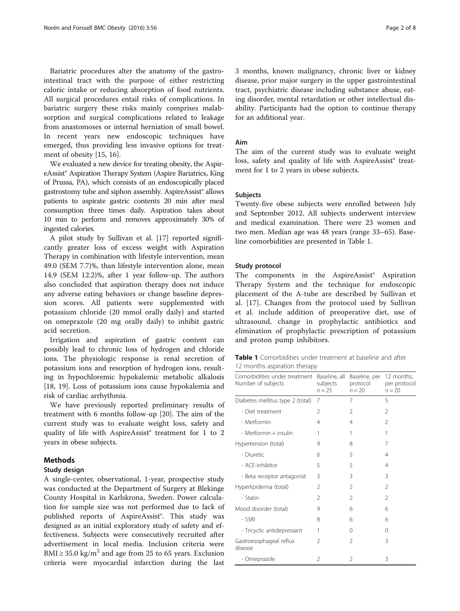<span id="page-1-0"></span>Bariatric procedures alter the anatomy of the gastrointestinal tract with the purpose of either restricting caloric intake or reducing absorption of food nutrients. All surgical procedures entail risks of complications. In bariatric surgery these risks mainly comprises malabsorption and surgical complications related to leakage from anastomoses or internal herniation of small bowel. In recent years new endoscopic techniques have emerged, thus providing less invasive options for treatment of obesity [\[15](#page-7-0), [16](#page-7-0)].

We evaluated a new device for treating obesity, the AspireAssist® Aspiration Therapy System (Aspire Bariatrics, King of Prussa, PA), which consists of an endoscopically placed gastrostomy tube and siphon assembly. AspireAssist® allows patients to aspirate gastric contents 20 min after meal consumption three times daily. Aspiration takes about 10 min to perform and removes approximately 30% of ingested calories.

A pilot study by Sullivan et al. [[17](#page-7-0)] reported significantly greater loss of excess weight with Aspiration Therapy in combination with lifestyle intervention, mean 49.0 (SEM 7.7)%, than lifestyle intervention alone, mean 14.9 (SEM 12.2)%, after 1 year follow-up. The authors also concluded that aspiration therapy does not induce any adverse eating behaviors or change baseline depression scores. All patients were supplemented with potassium chloride (20 mmol orally daily) and started on omeprazole (20 mg orally daily) to inhibit gastric acid secretion.

Irrigation and aspiration of gastric content can possibly lead to chronic loss of hydrogen and chloride ions. The physiologic response is renal secretion of potassium ions and resorption of hydrogen ions, resulting in hypochloremic hypokalemic metabolic alkalosis [[18, 19](#page-7-0)]. Loss of potassium ions cause hypokalemia and risk of cardiac arrhythmia.

We have previously reported preliminary results of treatment with 6 months follow-up [[20\]](#page-7-0). The aim of the current study was to evaluate weight loss, safety and quality of life with AspireAssist® treatment for 1 to 2 years in obese subjects.

# Methods

## Study design

A single-center, observational, 1-year, prospective study was conducted at the Department of Surgery at Blekinge County Hospital in Karlskrona, Sweden. Power calculation for sample size was not performed due to lack of published reports of AspireAssist®. This study was designed as an initial exploratory study of safety and effectiveness. Subjects were consecutively recruited after advertisement in local media. Inclusion criteria were BMI  $\geq$  35.0 kg/m<sup>2</sup> and age from 25 to 65 years. Exclusion criteria were myocardial infarction during the last 3 months, known malignancy, chronic liver or kidney disease, prior major surgery in the upper gastrointestinal tract, psychiatric disease including substance abuse, eating disorder, mental retardation or other intellectual disability. Participants had the option to continue therapy for an additional year.

## Aim

The aim of the current study was to evaluate weight loss, safety and quality of life with AspireAssist® treatment for 1 to 2 years in obese subjects.

#### Subjects

Twenty-five obese subjects were enrolled between July and September 2012. All subjects underwent interview and medical examination. There were 23 women and two men. Median age was 48 years (range 33–65). Baseline comorbidities are presented in Table 1.

## Study protocol

The components in the AspireAssist® Aspiration Therapy System and the technique for endoscopic placement of the A-tube are described by Sullivan et al. [\[17](#page-7-0)]. Changes from the protocol used by Sullivan et al. include addition of preoperative diet, use of ultrasound, change in prophylactic antibiotics and elimination of prophylactic prescription of potassium and proton pump inhibitors.

| <b>Table 1</b> Comorbidities under treatment at baseline and after |  |  |  |
|--------------------------------------------------------------------|--|--|--|
| 12 months aspiration therapy                                       |  |  |  |

| Comorbidities under treatment<br>Number of subjects | Baseline, all<br>subjects<br>$n = 25$ | Baseline, per<br>protocol<br>$n = 20$ | 12 months,<br>per protocol<br>$n = 20$ |
|-----------------------------------------------------|---------------------------------------|---------------------------------------|----------------------------------------|
| Diabetes mellitus type 2 (total)                    | 7                                     | 7                                     | 5                                      |
| - Diet treatment                                    | $\mathfrak{D}$                        | $\mathcal{P}$                         | $\mathfrak{D}$                         |
| - Metformin                                         | 4                                     | 4                                     | $\mathfrak{D}$                         |
| - Metformin + insulin                               | 1                                     | 1                                     | 1                                      |
| Hypertension (total)                                | 9                                     | 8                                     | 7                                      |
| - Diuretic                                          | 6                                     | 5                                     | 4                                      |
| - ACF-inhibitor                                     | 5                                     | 5                                     | 4                                      |
| - Beta receptor antagonist                          | 3                                     | 3                                     | 3                                      |
| Hyperlipidemia (total)                              | $\mathfrak{D}$                        | $\mathcal{P}$                         | $\mathfrak{D}$                         |
| - Statin                                            | $\mathfrak{D}$                        | $\mathfrak{D}$                        | $\mathfrak{D}$                         |
| Mood disorder (total)                               | 9                                     | 6                                     | 6                                      |
| - SSRI                                              | 8                                     | 6                                     | 6                                      |
| - Tricyclic antidepressant                          | 1                                     | $\Omega$                              | $\Omega$                               |
| Gastroesophageal reflux<br>disease                  | $\mathfrak{D}$                        | 2                                     | 3                                      |
| - Omeprazole                                        | $\mathfrak{D}$                        | $\mathcal{P}$                         | 3                                      |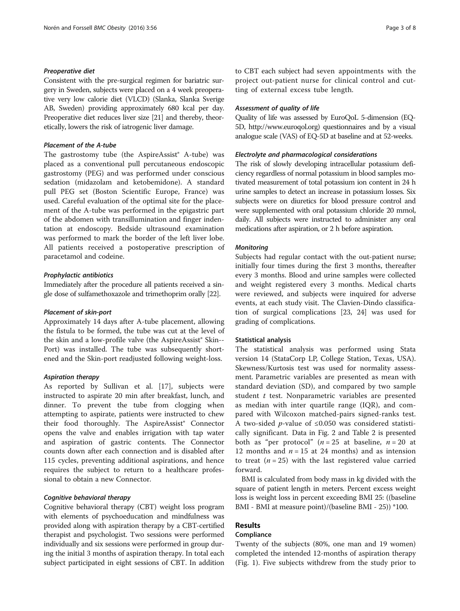## Preoperative diet

Consistent with the pre-surgical regimen for bariatric surgery in Sweden, subjects were placed on a 4 week preoperative very low calorie diet (VLCD) (Slanka, Slanka Sverige AB, Sweden) providing approximately 680 kcal per day. Preoperative diet reduces liver size [\[21\]](#page-7-0) and thereby, theoretically, lowers the risk of iatrogenic liver damage.

### Placement of the A-tube

The gastrostomy tube (the AspireAssist® A-tube) was placed as a conventional pull percutaneous endoscopic gastrostomy (PEG) and was performed under conscious sedation (midazolam and ketobemidone). A standard pull PEG set (Boston Scientific Europe, France) was used. Careful evaluation of the optimal site for the placement of the A-tube was performed in the epigastric part of the abdomen with transillumination and finger indentation at endoscopy. Bedside ultrasound examination was performed to mark the border of the left liver lobe. All patients received a postoperative prescription of paracetamol and codeine.

#### Prophylactic antibiotics

Immediately after the procedure all patients received a single dose of sulfamethoxazole and trimethoprim orally [\[22\]](#page-7-0).

#### Placement of skin-port

Approximately 14 days after A-tube placement, allowing the fistula to be formed, the tube was cut at the level of the skin and a low-profile valve (the AspireAssist® Skin-- Port) was installed. The tube was subsequently shortened and the Skin-port readjusted following weight-loss.

#### Aspiration therapy

As reported by Sullivan et al. [[17](#page-7-0)], subjects were instructed to aspirate 20 min after breakfast, lunch, and dinner. To prevent the tube from clogging when attempting to aspirate, patients were instructed to chew their food thoroughly. The AspireAssist® Connector opens the valve and enables irrigation with tap water and aspiration of gastric contents. The Connector counts down after each connection and is disabled after 115 cycles, preventing additional aspirations, and hence requires the subject to return to a healthcare professional to obtain a new Connector.

## Cognitive behavioral therapy

Cognitive behavioral therapy (CBT) weight loss program with elements of psychoeducation and mindfulness was provided along with aspiration therapy by a CBT-certified therapist and psychologist. Two sessions were performed individually and six sessions were performed in group during the initial 3 months of aspiration therapy. In total each subject participated in eight sessions of CBT. In addition to CBT each subject had seven appointments with the project out-patient nurse for clinical control and cutting of external excess tube length.

## Assessment of quality of life

Quality of life was assessed by EuroQoL 5-dimension (EQ-5D,<http://www.euroqol.org>) questionnaires and by a visual analogue scale (VAS) of EQ-5D at baseline and at 52-weeks.

## Electrolyte and pharmacological considerations

The risk of slowly developing intracellular potassium deficiency regardless of normal potassium in blood samples motivated measurement of total potassium ion content in 24 h urine samples to detect an increase in potassium losses. Six subjects were on diuretics for blood pressure control and were supplemented with oral potassium chloride 20 mmol, daily. All subjects were instructed to administer any oral medications after aspiration, or 2 h before aspiration.

#### **Monitoring**

Subjects had regular contact with the out-patient nurse; initially four times during the first 3 months, thereafter every 3 months. Blood and urine samples were collected and weight registered every 3 months. Medical charts were reviewed, and subjects were inquired for adverse events, at each study visit. The Clavien-Dindo classification of surgical complications [\[23](#page-7-0), [24\]](#page-7-0) was used for grading of complications.

#### Statistical analysis

The statistical analysis was performed using Stata version 14 (StataCorp LP, College Station, Texas, USA). Skewness/Kurtosis test was used for normality assessment. Parametric variables are presented as mean with standard deviation (SD), and compared by two sample student  $t$  test. Nonparametric variables are presented as median with inter quartile range (IQR), and compared with Wilcoxon matched-pairs signed-ranks test. A two-sided *p*-value of ≤0.050 was considered statistically significant. Data in Fig. [2](#page-3-0) and Table [2](#page-4-0) is presented both as "per protocol" ( $n = 25$  at baseline,  $n = 20$  at 12 months and  $n = 15$  at 24 months) and as intension to treat  $(n = 25)$  with the last registered value carried forward.

BMI is calculated from body mass in kg divided with the square of patient length in meters. Percent excess weight loss is weight loss in percent exceeding BMI 25: ((baseline BMI - BMI at measure point)/(baseline BMI - 25)) \*100.

# Results

## Compliance

Twenty of the subjects (80%, one man and 19 women) completed the intended 12-months of aspiration therapy (Fig. [1](#page-3-0)). Five subjects withdrew from the study prior to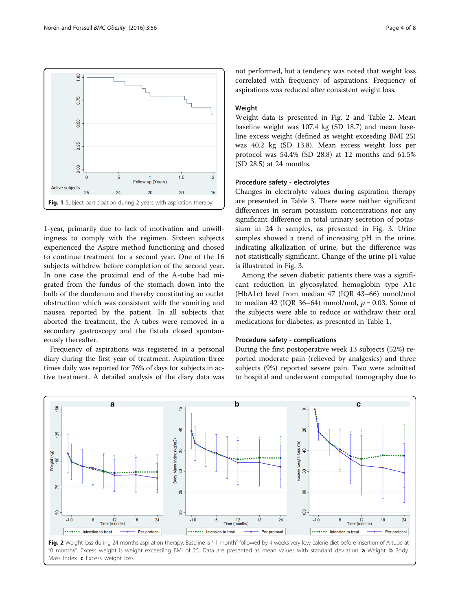<span id="page-3-0"></span>

1-year, primarily due to lack of motivation and unwillingness to comply with the regimen. Sixteen subjects experienced the Aspire method functioning and chosed to continue treatment for a second year. One of the 16 subjects withdrew before completion of the second year. In one case the proximal end of the A-tube had migrated from the fundus of the stomach down into the bulb of the duodenum and thereby constituting an outlet obstruction which was consistent with the vomiting and nausea reported by the patient. In all subjects that aborted the treatment, the A-tubes were removed in a secondary gastroscopy and the fistula closed spontaneously thereafter.

Frequency of aspirations was registered in a personal diary during the first year of treatment. Aspiration three times daily was reported for 76% of days for subjects in active treatment. A detailed analysis of the diary data was

not performed, but a tendency was noted that weight loss correlated with frequency of aspirations. Frequency of aspirations was reduced after consistent weight loss.

# Weight

Weight data is presented in Fig. 2 and Table [2.](#page-4-0) Mean baseline weight was 107.4 kg (SD 18.7) and mean baseline excess weight (defined as weight exceeding BMI 25) was 40.2 kg (SD 13.8). Mean excess weight loss per protocol was 54.4% (SD 28.8) at 12 months and 61.5% (SD 28.5) at 24 months.

#### Procedure safety - electrolytes

Changes in electrolyte values during aspiration therapy are presented in Table [3.](#page-4-0) There were neither significant differences in serum potassium concentrations nor any significant difference in total urinary secretion of potassium in 24 h samples, as presented in Fig. [3.](#page-5-0) Urine samples showed a trend of increasing pH in the urine, indicating alkalization of urine, but the difference was not statistically significant. Change of the urine pH value is illustrated in Fig. [3](#page-5-0).

Among the seven diabetic patients there was a significant reduction in glycosylated hemoglobin type A1c (HbA1c) level from median 47 (IQR 43–66) mmol/mol to median 42 (IQR 36–64) mmol/mol,  $p = 0.03$ . Some of the subjects were able to reduce or withdraw their oral medications for diabetes, as presented in Table [1](#page-1-0).

#### Procedure safety - complications

During the first postoperative week 13 subjects (52%) reported moderate pain (relieved by analgesics) and three subjects (9%) reported severe pain. Two were admitted to hospital and underwent computed tomography due to



Fig. 2 Weight loss during 24 months aspiration therapy. Baseline is "-1 month" followed by 4 weeks very low calorie diet before insertion of A-tube at "0 months". Excess weight is weight exceeding BMI of 25. Data are presented as mean values with standard deviation. a Weight. b Body Mass Index. c Excess weight loss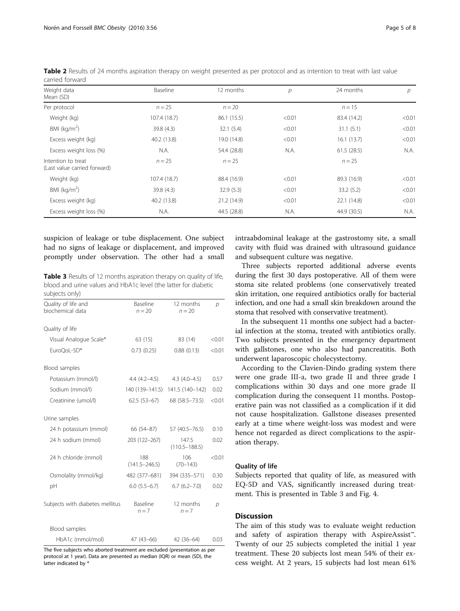| Weight data<br>Mean (SD)                           | Baseline     | 12 months   | $\mathcal{P}$ | 24 months   | р      |
|----------------------------------------------------|--------------|-------------|---------------|-------------|--------|
| Per protocol                                       | $n = 25$     | $n = 20$    |               | $n = 15$    |        |
| Weight (kg)                                        | 107.4 (18.7) | 86.1 (15.5) | < 0.01        | 83.4 (14.2) | < 0.01 |
| BMI ( $kg/m2$ )                                    | 39.8 (4.3)   | 32.1(5.4)   | < 0.01        | 31.1(5.1)   | < 0.01 |
| Excess weight (kg)                                 | 40.2 (13.8)  | 19.0 (14.8) | < 0.01        | 16.1(13.7)  | < 0.01 |
| Excess weight loss (%)                             | N.A.         | 54.4 (28.8) | N.A.          | 61.5(28.5)  | N.A.   |
| Intention to treat<br>(Last value carried forward) | $n = 25$     | $n = 25$    |               | $n = 25$    |        |
| Weight (kg)                                        | 107.4 (18.7) | 88.4 (16.9) | < 0.01        | 89.3 (16.9) | < 0.01 |
| BMI ( $\text{kg/m}^2$ )                            | 39.8(4.3)    | 32.9(5.3)   | < 0.01        | 33.2(5.2)   | < 0.01 |
| Excess weight (kg)                                 | 40.2 (13.8)  | 21.2 (14.9) | < 0.01        | 22.1 (14.8) | < 0.01 |
| Excess weight loss (%)                             | N.A.         | 44.5 (28.8) | N.A.          | 44.9 (30.5) | N.A.   |

<span id="page-4-0"></span>Table 2 Results of 24 months aspiration therapy on weight presented as per protocol and as intention to treat with last value carried forward

suspicion of leakage or tube displacement. One subject had no signs of leakage or displacement, and improved promptly under observation. The other had a small

Table 3 Results of 12 months aspiration therapy on quality of life, blood and urine values and HbA1c level (the latter for diabetic subjects only)

| Quality of life and             | Baseline                 | 12 months                  | $\mathcal{D}$ |
|---------------------------------|--------------------------|----------------------------|---------------|
| biochemical data                | $n = 20$                 | $n = 20$                   |               |
| Quality of life                 |                          |                            |               |
| Visual Analogue Scale*          | 63 (15)                  | 83 (14)                    | < 0.01        |
| EuroOoL-5D*                     | 0.73(0.25)               | 0.88(0.13)                 | < 0.01        |
| Blood samples                   |                          |                            |               |
| Potassium (mmol/l)              | $4.4(4.2 - 4.5)$         | $4.3(4.0-4.5)$             | 0.57          |
| Sodium (mmol/l)                 | 140 (139–141.5)          | 141.5 (140-142)            | 0.02          |
| Creatinine (umol/l)             | $62.5(53-67)$            | 68 (58.5 - 73.5)           | < 0.01        |
| Urine samples                   |                          |                            |               |
| 24 h potassium (mmol)           | 66 (54-87)               | 57 (40.5 - 76.5)           | 0.10          |
| 24 h sodium (mmol)              | 203 (122-267)            | 147.5<br>$(110.5 - 188.5)$ | 0.02          |
| 24 h chloride (mmol)            | 188<br>$(141.5 - 246.5)$ | 106<br>$(70 - 143)$        | < 0.01        |
| Osmolality (mmol/kg)            | 482 (377-681)            | 394 (335-571)              | 0.30          |
| рH                              | $6.0$ $(5.5-6.7)$        | $6.7(6.2 - 7.0)$           | 0.02          |
| Subjects with diabetes mellitus | Baseline<br>$n = 7$      | 12 months<br>$n = 7$       | $\mathcal{P}$ |
| Blood samples                   |                          |                            |               |
| HbA1c (mmol/mol)                | 47 (43-66)               | 42 (36-64)                 | 0.03          |

The five subjects who aborted treatment are excluded (presentation as per protocol at 1 year). Data are presented as median (IQR) or mean (SD), the latter indicated by \*

intraabdominal leakage at the gastrostomy site, a small cavity with fluid was drained with ultrasound guidance and subsequent culture was negative.

Three subjects reported additional adverse events during the first 30 days postoperative. All of them were stoma site related problems (one conservatively treated skin irritation, one required antibiotics orally for bacterial infection, and one had a small skin breakdown around the stoma that resolved with conservative treatment).

In the subsequent 11 months one subject had a bacterial infection at the stoma, treated with antibiotics orally. Two subjects presented in the emergency department with gallstones, one who also had pancreatitis. Both underwent laparoscopic cholecystectomy.

According to the Clavien-Dindo grading system there were one grade III-a, two grade II and three grade I complications within 30 days and one more grade II complication during the consequent 11 months. Postoperative pain was not classified as a complication if it did not cause hospitalization. Gallstone diseases presented early at a time where weight-loss was modest and were hence not regarded as direct complications to the aspiration therapy.

#### Quality of life

Subjects reported that quality of life, as measured with EQ-5D and VAS, significantly increased during treatment. This is presented in Table 3 and Fig. [4](#page-5-0).

## **Discussion**

The aim of this study was to evaluate weight reduction and safety of aspiration therapy with AspireAssist™. Twenty of our 25 subjects completed the initial 1 year treatment. These 20 subjects lost mean 54% of their excess weight. At 2 years, 15 subjects had lost mean 61%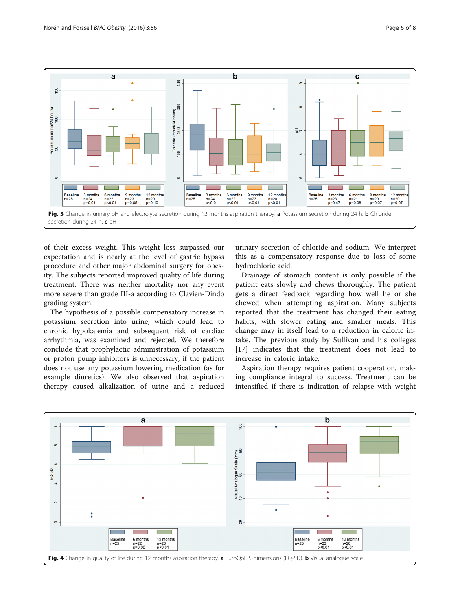<span id="page-5-0"></span>

of their excess weight. This weight loss surpassed our expectation and is nearly at the level of gastric bypass procedure and other major abdominal surgery for obesity. The subjects reported improved quality of life during treatment. There was neither mortality nor any event more severe than grade III-a according to Clavien-Dindo grading system.

The hypothesis of a possible compensatory increase in potassium secretion into urine, which could lead to chronic hypokalemia and subsequent risk of cardiac arrhythmia, was examined and rejected. We therefore conclude that prophylactic administration of potassium or proton pump inhibitors is unnecessary, if the patient does not use any potassium lowering medication (as for example diuretics). We also observed that aspiration therapy caused alkalization of urine and a reduced urinary secretion of chloride and sodium. We interpret this as a compensatory response due to loss of some hydrochloric acid.

Drainage of stomach content is only possible if the patient eats slowly and chews thoroughly. The patient gets a direct feedback regarding how well he or she chewed when attempting aspiration. Many subjects reported that the treatment has changed their eating habits, with slower eating and smaller meals. This change may in itself lead to a reduction in caloric intake. The previous study by Sullivan and his colleges [[17\]](#page-7-0) indicates that the treatment does not lead to increase in caloric intake.

Aspiration therapy requires patient cooperation, making compliance integral to success. Treatment can be intensified if there is indication of relapse with weight

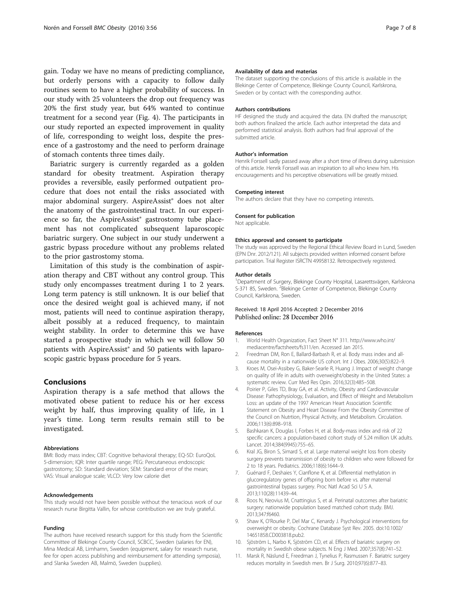<span id="page-6-0"></span>gain. Today we have no means of predicting compliance, but orderly persons with a capacity to follow daily routines seem to have a higher probability of success. In our study with 25 volunteers the drop out frequency was 20% the first study year, but 64% wanted to continue treatment for a second year (Fig. [4](#page-5-0)). The participants in our study reported an expected improvement in quality of life, corresponding to weight loss, despite the presence of a gastrostomy and the need to perform drainage of stomach contents three times daily.

Bariatric surgery is currently regarded as a golden standard for obesity treatment. Aspiration therapy provides a reversible, easily performed outpatient procedure that does not entail the risks associated with major abdominal surgery. AspireAssist® does not alter the anatomy of the gastrointestinal tract. In our experience so far, the AspireAssist® gastrostomy tube placement has not complicated subsequent laparoscopic bariatric surgery. One subject in our study underwent a gastric bypass procedure without any problems related to the prior gastrostomy stoma.

Limitation of this study is the combination of aspiration therapy and CBT without any control group. This study only encompasses treatment during 1 to 2 years. Long term patency is still unknown. It is our belief that once the desired weight goal is achieved many, if not most, patients will need to continue aspiration therapy, albeit possibly at a reduced frequency, to maintain weight stability. In order to determine this we have started a prospective study in which we will follow 50 patients with AspireAssist® and 50 patients with laparoscopic gastric bypass procedure for 5 years.

## Conclusions

Aspiration therapy is a safe method that allows the motivated obese patient to reduce his or her excess weight by half, thus improving quality of life, in 1 year's time. Long term results remain still to be investigated.

#### Abbreviations

BMI: Body mass index; CBT: Cognitive behavioral therapy; EQ-5D: EuroQoL 5-dimension; IQR: Inter quartile range; PEG: Percutaneous endoscopic gastrostomy; SD: Standard deviation; SEM: Standard error of the mean; VAS: Visual analogue scale; VLCD: Very low calorie diet

#### Acknowledgements

This study would not have been possible without the tenacious work of our research nurse Birgitta Vallin, for whose contribution we are truly grateful.

#### Funding

The authors have received research support for this study from the Scientific Committee of Blekinge County Council, SCBCC, Sweden (salaries for EN), Mina Medical AB, Limhamn, Sweden (equipment, salary for research nurse, fee for open access publishing and reimbursement for attending symposia), and Slanka Sweden AB, Malmö, Sweden (supplies).

#### Availability of data and materias

The dataset supporting the conclusions of this article is available in the Blekinge Center of Competence, Blekinge County Council, Karlskrona, Sweden or by contact with the corresponding author.

#### Authors contributions

HF designed the study and acquired the data. EN drafted the manuscript; both authors finalized the article. Each author interpretad the data and performed statistical analysis. Both authors had final approval of the submitted article.

#### Author's information

Henrik Forssell sadly passed away after a short time of illness during submission of this article. Henrik Forssell was an inspiration to all who knew him. His encouragements and his perceptive observations will be greatly missed.

#### Competing interest

The authors declare that they have no competing interests.

#### Consent for publication

Not applicable.

#### Ethics approval and consent to participate

The study was approved by the Regional Ethical Review Board in Lund, Sweden (EPN Dnr. 2012/121). All subjects provided written informed consent before participation. Trial Register ISRCTN 49958132. Retrospectively registered.

#### Author details

<sup>1</sup>Department of Surgery, Blekinge County Hospital, Lasarettsvägen, Karlskrona S-371 85, Sweden. <sup>2</sup> Blekinge Center of Competence, Blekinge County Council, Karlskrona, Sweden.

#### Received: 18 April 2016 Accepted: 2 December 2016 Published online: 28 December 2016

#### References

- 1. World Health Organization, Fact Sheet N° 311. [http://www.who.int/](http://www.who.int/mediacentre/factsheets/fs311/en) [mediacentre/factsheets/fs311/en.](http://www.who.int/mediacentre/factsheets/fs311/en) Accessed Jan 2015.
- 2. Freedman DM, Ron E, Ballard-Barbash R, et al. Body mass index and allcause mortality in a nationwide US cohort. Int J Obes. 2006;30(5):822–9.
- 3. Kroes M, Osei-Assibey G, Baker-Searle R, Huang J. Impact of weight change on quality of life in adults with overweight/obesity in the United States: a systematic review. Curr Med Res Opin. 2016;32(3):485–508.
- 4. Poirier P, Giles TD, Bray GA, et al. Activity, Obesity and Cardiovascular Disease: Pathophysiology, Evaluation, and Effect of Weight and Metabolism Loss: an update of the 1997 American Heart Association Scientific Statement on Obesity and Heart Disease From the Obesity Committee of the Council on Nutrtion, Physical Activity, and Metabolism. Circulation. 2006;113(6):898–918.
- 5. Bashkaran K, Douglas I, Forbes H, et al. Body-mass index and risk of 22 specific cancers: a population-based cohort study of 5.24 million UK adults. Lancet. 2014;384(9945):755–65.
- 6. Kral JG, Biron S, Simard S, et al. Large maternal weight loss from obesity surgery prevents transmission of obesity to children who were followed for 2 to 18 years. Pediatrics. 2006;118(6):1644–9.
- 7. Guénard F, Deshaies Y, Cianflone K, et al. Differential methylation in glucoregulatory genes of offspring born before vs. after maternal gastrointestinal bypass surgery. Proc Natl Acad Sci U S A. 2013;110(28):11439–44.
- 8. Roos N, Neovius M, Cnattingius S, et al. Perinatal outcomes after bariatric surgery: nationwide population based matched cohort study. BMJ. 2013;347:f6460.
- 9. Shaw K, O'Rourke P, Del Mar C, Kenardy J. Psychological interventions for overweight or obesity. Cochrane Database Syst Rev. 2005. doi:[10.1002/](http://dx.doi.org/10.1002/14651858.CD003818.pub2) [14651858.CD003818.pub2](http://dx.doi.org/10.1002/14651858.CD003818.pub2).
- 10. Sjöström L, Narbo K, Sjöström CD, et al. Effects of bariatric surgery on mortality in Swedish obese subjects. N Eng J Med. 2007;357(8):741–52.
- 11. Marsk R, Näslund E, Freedman J, Tynelius P, Rasmussen F. Bariatric surgery reduces mortality in Swedish men. Br J Surg. 2010;97(6):877–83.